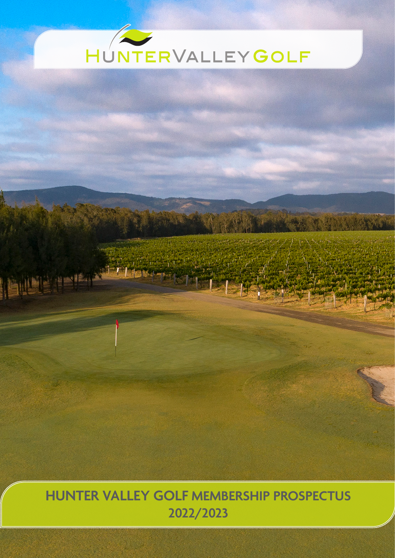# HUNTERVALLEYGOLF

# **HUNTER VALLEY GOLF MEMBERSHIP PROSPECTUS 2022/2023**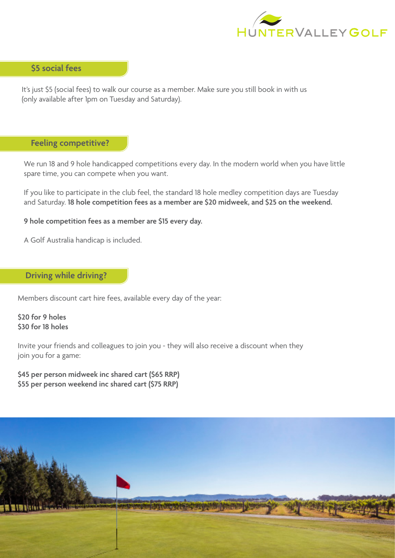

# **\$5 social fees**

It's just \$5 (social fees) to walk our course as a member. Make sure you still book in with us (only available after 1pm on Tuesday and Saturday).

# **Feeling competitive?**

We run 18 and 9 hole handicapped competitions every day. In the modern world when you have little spare time, you can compete when you want.

If you like to participate in the club feel, the standard 18 hole medley competition days are Tuesday and Saturday. **18 hole competition fees as a member are \$20 midweek, and \$25 on the weekend.** 

**9 hole competition fees as a member are \$15 every day.** 

A Golf Australia handicap is included.

#### **Driving while driving?**

Members discount cart hire fees, available every day of the year:

**\$20 for 9 holes \$30 for 18 holes**

Invite your friends and colleagues to join you - they will also receive a discount when they join you for a game:

**\$45 per person midweek inc shared cart (\$65 RRP) \$55 per person weekend inc shared cart (\$75 RRP)**

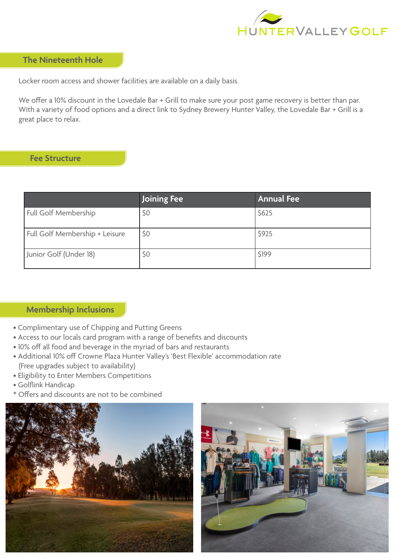

### **The Nineteenth Hole**

Locker room access and shower facilities are available on a daily basis.

We offer a 10% discount in the Lovedale Bar + Grill to make sure your post game recovery is better than par. With a variety of food options and a direct link to Sydney Brewery Hunter Valley, the Lovedale Bar + Grill is a great place to relax.

## **Fee Structure**

|                                | Joining Fee | <b>Annual Fee</b> |
|--------------------------------|-------------|-------------------|
| Full Golf Membership           | \$0         | \$625             |
| Full Golf Membership + Leisure | \$0         | \$925             |
| Junior Golf (Under 18)         | \$0         | \$199             |

# **Membership Inclusions**

- Complimentary use of Chipping and Putting Greens
- Access to our locals card program with a range of benefits and discounts
- 10% off all food and beverage in the myriad of bars and restaurants
- Additional 10% off Crowne Plaza Hunter Valley's 'Best Flexible' accommodation rate (Free upgrades subject to availability)
- Eligibility to Enter Members Competitions
- Golflink Handicap
- \* Offers and discounts are not to be combined